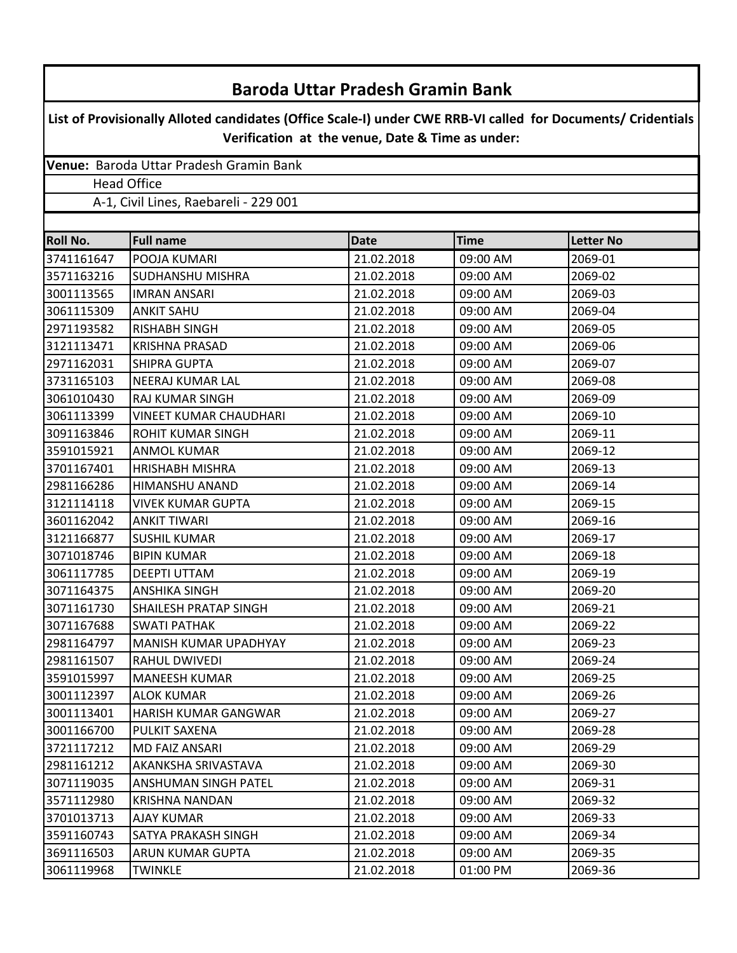| <b>Baroda Uttar Pradesh Gramin Bank</b>                                                                                                                          |                                         |            |          |         |                 |
|------------------------------------------------------------------------------------------------------------------------------------------------------------------|-----------------------------------------|------------|----------|---------|-----------------|
| List of Provisionally Alloted candidates (Office Scale-I) under CWE RRB-VI called for Documents/ Cridentials<br>Verification at the venue, Date & Time as under: |                                         |            |          |         |                 |
|                                                                                                                                                                  | Venue: Baroda Uttar Pradesh Gramin Bank |            |          |         |                 |
|                                                                                                                                                                  | <b>Head Office</b>                      |            |          |         |                 |
| A-1, Civil Lines, Raebareli - 229 001                                                                                                                            |                                         |            |          |         |                 |
|                                                                                                                                                                  |                                         |            |          |         | <b>Roll No.</b> |
| 3741161647                                                                                                                                                       | POOJA KUMARI                            | 21.02.2018 | 09:00 AM | 2069-01 |                 |
| 3571163216                                                                                                                                                       | <b>SUDHANSHU MISHRA</b>                 | 21.02.2018 | 09:00 AM | 2069-02 |                 |
| 3001113565                                                                                                                                                       | <b>IMRAN ANSARI</b>                     | 21.02.2018 | 09:00 AM | 2069-03 |                 |
| 3061115309                                                                                                                                                       | <b>ANKIT SAHU</b>                       | 21.02.2018 | 09:00 AM | 2069-04 |                 |
| 2971193582                                                                                                                                                       | <b>RISHABH SINGH</b>                    | 21.02.2018 | 09:00 AM | 2069-05 |                 |
| 3121113471                                                                                                                                                       | <b>KRISHNA PRASAD</b>                   | 21.02.2018 | 09:00 AM | 2069-06 |                 |
| 2971162031                                                                                                                                                       | <b>SHIPRA GUPTA</b>                     | 21.02.2018 | 09:00 AM | 2069-07 |                 |
| 3731165103                                                                                                                                                       | <b>NEERAJ KUMAR LAL</b>                 | 21.02.2018 | 09:00 AM | 2069-08 |                 |
| 3061010430                                                                                                                                                       | RAJ KUMAR SINGH                         | 21.02.2018 | 09:00 AM | 2069-09 |                 |
| 3061113399                                                                                                                                                       | <b>VINEET KUMAR CHAUDHARI</b>           | 21.02.2018 | 09:00 AM | 2069-10 |                 |
| 3091163846                                                                                                                                                       | <b>ROHIT KUMAR SINGH</b>                | 21.02.2018 | 09:00 AM | 2069-11 |                 |
| 3591015921                                                                                                                                                       | <b>ANMOL KUMAR</b>                      | 21.02.2018 | 09:00 AM | 2069-12 |                 |
| 3701167401                                                                                                                                                       | <b>HRISHABH MISHRA</b>                  | 21.02.2018 | 09:00 AM | 2069-13 |                 |
| 2981166286                                                                                                                                                       | HIMANSHU ANAND                          | 21.02.2018 | 09:00 AM | 2069-14 |                 |
| 3121114118                                                                                                                                                       | <b>VIVEK KUMAR GUPTA</b>                | 21.02.2018 | 09:00 AM | 2069-15 |                 |
| 3601162042                                                                                                                                                       | <b>ANKIT TIWARI</b>                     | 21.02.2018 | 09:00 AM | 2069-16 |                 |
| 3121166877                                                                                                                                                       | <b>SUSHIL KUMAR</b>                     | 21.02.2018 | 09:00 AM | 2069-17 |                 |
| 3071018746                                                                                                                                                       | <b>BIPIN KUMAR</b>                      | 21.02.2018 | 09:00 AM | 2069-18 |                 |
| 3061117785                                                                                                                                                       | <b>DEEPTI UTTAM</b>                     | 21.02.2018 | 09:00 AM | 2069-19 |                 |
| 3071164375                                                                                                                                                       | <b>ANSHIKA SINGH</b>                    | 21.02.2018 | 09:00 AM | 2069-20 |                 |
| 3071161730                                                                                                                                                       | SHAILESH PRATAP SINGH                   | 21.02.2018 | 09:00 AM | 2069-21 |                 |
| 3071167688                                                                                                                                                       | <b>SWATI PATHAK</b>                     | 21.02.2018 | 09:00 AM | 2069-22 |                 |
| 2981164797                                                                                                                                                       | MANISH KUMAR UPADHYAY                   | 21.02.2018 | 09:00 AM | 2069-23 |                 |
| 2981161507                                                                                                                                                       | <b>RAHUL DWIVEDI</b>                    | 21.02.2018 | 09:00 AM | 2069-24 |                 |
| 3591015997                                                                                                                                                       | <b>MANEESH KUMAR</b>                    | 21.02.2018 | 09:00 AM | 2069-25 |                 |
| 3001112397                                                                                                                                                       | ALOK KUMAR                              | 21.02.2018 | 09:00 AM | 2069-26 |                 |
| 3001113401                                                                                                                                                       | HARISH KUMAR GANGWAR                    | 21.02.2018 | 09:00 AM | 2069-27 |                 |
| 3001166700                                                                                                                                                       | PULKIT SAXENA                           | 21.02.2018 | 09:00 AM | 2069-28 |                 |
| 3721117212                                                                                                                                                       | <b>MD FAIZ ANSARI</b>                   | 21.02.2018 | 09:00 AM | 2069-29 |                 |
| 2981161212                                                                                                                                                       | AKANKSHA SRIVASTAVA                     | 21.02.2018 | 09:00 AM | 2069-30 |                 |
| 3071119035                                                                                                                                                       | ANSHUMAN SINGH PATEL                    | 21.02.2018 | 09:00 AM | 2069-31 |                 |
| 3571112980                                                                                                                                                       | KRISHNA NANDAN                          | 21.02.2018 | 09:00 AM | 2069-32 |                 |
| 3701013713                                                                                                                                                       | AJAY KUMAR                              | 21.02.2018 | 09:00 AM | 2069-33 |                 |
| 3591160743                                                                                                                                                       | SATYA PRAKASH SINGH                     | 21.02.2018 | 09:00 AM | 2069-34 |                 |
| 3691116503                                                                                                                                                       | ARUN KUMAR GUPTA                        | 21.02.2018 | 09:00 AM | 2069-35 |                 |
| 3061119968                                                                                                                                                       | <b>TWINKLE</b>                          | 21.02.2018 | 01:00 PM | 2069-36 |                 |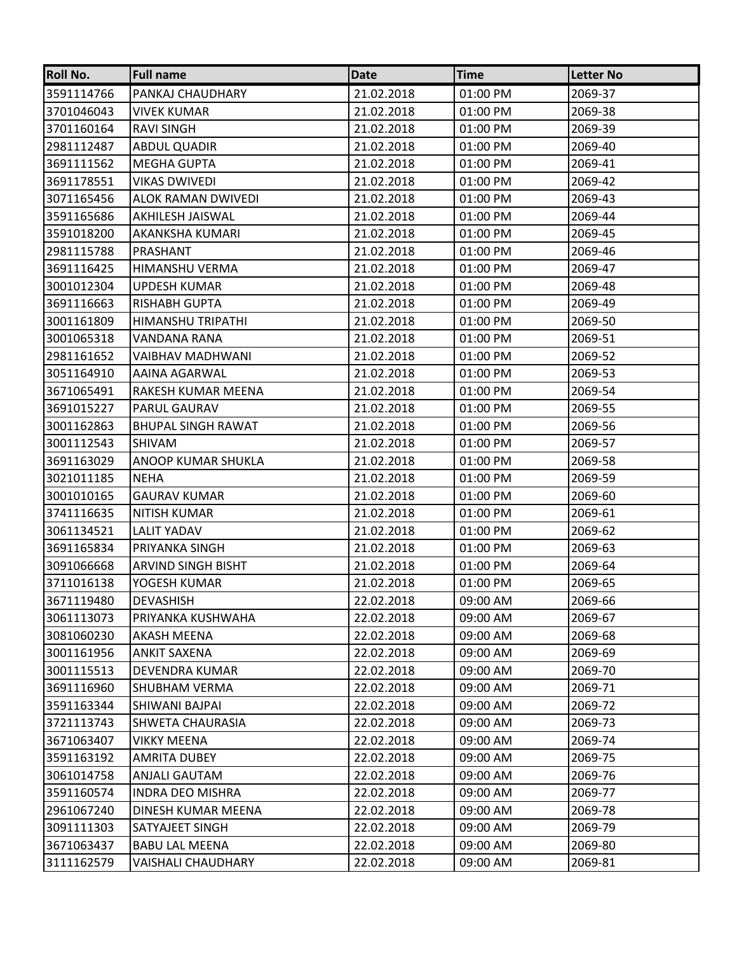| Roll No.   | <b>Full name</b>          | Date       | <b>Time</b> | <b>Letter No</b> |
|------------|---------------------------|------------|-------------|------------------|
| 3591114766 | PANKAJ CHAUDHARY          | 21.02.2018 | 01:00 PM    | 2069-37          |
| 3701046043 | <b>VIVEK KUMAR</b>        | 21.02.2018 | 01:00 PM    | 2069-38          |
| 3701160164 | <b>RAVI SINGH</b>         | 21.02.2018 | 01:00 PM    | 2069-39          |
| 2981112487 | <b>ABDUL QUADIR</b>       | 21.02.2018 | 01:00 PM    | 2069-40          |
| 3691111562 | <b>MEGHA GUPTA</b>        | 21.02.2018 | 01:00 PM    | 2069-41          |
| 3691178551 | VIKAS DWIVEDI             | 21.02.2018 | 01:00 PM    | 2069-42          |
| 3071165456 | <b>ALOK RAMAN DWIVEDI</b> | 21.02.2018 | 01:00 PM    | 2069-43          |
| 3591165686 | AKHILESH JAISWAL          | 21.02.2018 | 01:00 PM    | 2069-44          |
| 3591018200 | AKANKSHA KUMARI           | 21.02.2018 | 01:00 PM    | 2069-45          |
| 2981115788 | PRASHANT                  | 21.02.2018 | 01:00 PM    | 2069-46          |
| 3691116425 | HIMANSHU VERMA            | 21.02.2018 | 01:00 PM    | 2069-47          |
| 3001012304 | <b>UPDESH KUMAR</b>       | 21.02.2018 | 01:00 PM    | 2069-48          |
| 3691116663 | RISHABH GUPTA             | 21.02.2018 | 01:00 PM    | 2069-49          |
| 3001161809 | HIMANSHU TRIPATHI         | 21.02.2018 | 01:00 PM    | 2069-50          |
| 3001065318 | VANDANA RANA              | 21.02.2018 | 01:00 PM    | 2069-51          |
| 2981161652 | VAIBHAV MADHWANI          | 21.02.2018 | 01:00 PM    | 2069-52          |
| 3051164910 | AAINA AGARWAL             | 21.02.2018 | 01:00 PM    | 2069-53          |
| 3671065491 | RAKESH KUMAR MEENA        | 21.02.2018 | 01:00 PM    | 2069-54          |
| 3691015227 | <b>PARUL GAURAV</b>       | 21.02.2018 | 01:00 PM    | 2069-55          |
| 3001162863 | <b>BHUPAL SINGH RAWAT</b> | 21.02.2018 | 01:00 PM    | 2069-56          |
| 3001112543 | SHIVAM                    | 21.02.2018 | 01:00 PM    | 2069-57          |
| 3691163029 | ANOOP KUMAR SHUKLA        | 21.02.2018 | 01:00 PM    | 2069-58          |
| 3021011185 | <b>NEHA</b>               | 21.02.2018 | 01:00 PM    | 2069-59          |
| 3001010165 | <b>GAURAV KUMAR</b>       | 21.02.2018 | 01:00 PM    | 2069-60          |
| 3741116635 | <b>NITISH KUMAR</b>       | 21.02.2018 | 01:00 PM    | 2069-61          |
| 3061134521 | <b>LALIT YADAV</b>        | 21.02.2018 | 01:00 PM    | 2069-62          |
| 3691165834 | PRIYANKA SINGH            | 21.02.2018 | 01:00 PM    | 2069-63          |
| 3091066668 | <b>ARVIND SINGH BISHT</b> | 21.02.2018 | 01:00 PM    | 2069-64          |
| 3711016138 | YOGESH KUMAR              | 21.02.2018 | 01:00 PM    | 2069-65          |
| 3671119480 | <b>DEVASHISH</b>          | 22.02.2018 | 09:00 AM    | 2069-66          |
| 3061113073 | PRIYANKA KUSHWAHA         | 22.02.2018 | 09:00 AM    | 2069-67          |
| 3081060230 | AKASH MEENA               | 22.02.2018 | 09:00 AM    | 2069-68          |
| 3001161956 | <b>ANKIT SAXENA</b>       | 22.02.2018 | 09:00 AM    | 2069-69          |
| 3001115513 | DEVENDRA KUMAR            | 22.02.2018 | 09:00 AM    | 2069-70          |
| 3691116960 | <b>SHUBHAM VERMA</b>      | 22.02.2018 | 09:00 AM    | 2069-71          |
| 3591163344 | SHIWANI BAJPAI            | 22.02.2018 | 09:00 AM    | 2069-72          |
| 3721113743 | SHWETA CHAURASIA          | 22.02.2018 | 09:00 AM    | 2069-73          |
| 3671063407 | <b>VIKKY MEENA</b>        | 22.02.2018 | 09:00 AM    | 2069-74          |
| 3591163192 | AMRITA DUBEY              | 22.02.2018 | 09:00 AM    | 2069-75          |
| 3061014758 | ANJALI GAUTAM             | 22.02.2018 | 09:00 AM    | 2069-76          |
| 3591160574 | INDRA DEO MISHRA          | 22.02.2018 | 09:00 AM    | 2069-77          |
| 2961067240 | DINESH KUMAR MEENA        | 22.02.2018 | 09:00 AM    | 2069-78          |
| 3091111303 | SATYAJEET SINGH           | 22.02.2018 | 09:00 AM    | 2069-79          |
| 3671063437 | <b>BABU LAL MEENA</b>     | 22.02.2018 | 09:00 AM    | 2069-80          |
| 3111162579 | <b>VAISHALI CHAUDHARY</b> | 22.02.2018 | 09:00 AM    | 2069-81          |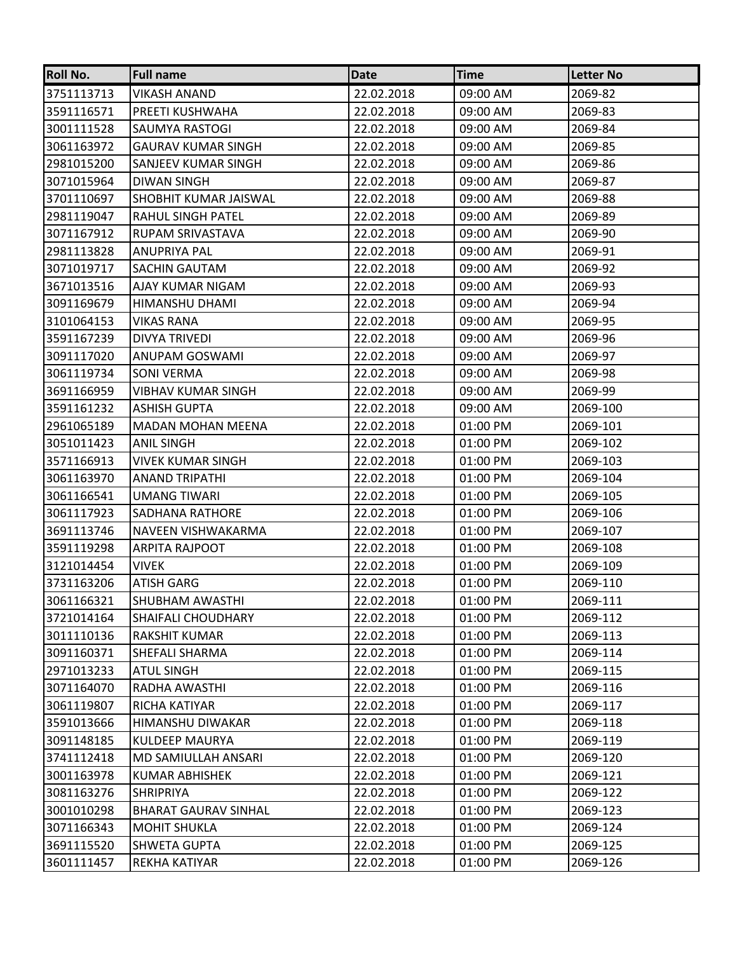| Roll No.   | <b>Full name</b>             | Date       | <b>Time</b> | <b>Letter No</b> |
|------------|------------------------------|------------|-------------|------------------|
| 3751113713 | VIKASH ANAND                 | 22.02.2018 | 09:00 AM    | 2069-82          |
| 3591116571 | PREETI KUSHWAHA              | 22.02.2018 | 09:00 AM    | 2069-83          |
| 3001111528 | SAUMYA RASTOGI               | 22.02.2018 | 09:00 AM    | 2069-84          |
| 3061163972 | <b>GAURAV KUMAR SINGH</b>    | 22.02.2018 | 09:00 AM    | 2069-85          |
| 2981015200 | SANJEEV KUMAR SINGH          | 22.02.2018 | 09:00 AM    | 2069-86          |
| 3071015964 | DIWAN SINGH                  | 22.02.2018 | 09:00 AM    | 2069-87          |
| 3701110697 | <b>SHOBHIT KUMAR JAISWAL</b> | 22.02.2018 | 09:00 AM    | 2069-88          |
| 2981119047 | RAHUL SINGH PATEL            | 22.02.2018 | 09:00 AM    | 2069-89          |
| 3071167912 | RUPAM SRIVASTAVA             | 22.02.2018 | 09:00 AM    | 2069-90          |
| 2981113828 | <b>ANUPRIYA PAL</b>          | 22.02.2018 | 09:00 AM    | 2069-91          |
| 3071019717 | SACHIN GAUTAM                | 22.02.2018 | 09:00 AM    | 2069-92          |
| 3671013516 | AJAY KUMAR NIGAM             | 22.02.2018 | 09:00 AM    | 2069-93          |
| 3091169679 | HIMANSHU DHAMI               | 22.02.2018 | 09:00 AM    | 2069-94          |
| 3101064153 | <b>VIKAS RANA</b>            | 22.02.2018 | 09:00 AM    | 2069-95          |
| 3591167239 | DIVYA TRIVEDI                | 22.02.2018 | 09:00 AM    | 2069-96          |
| 3091117020 | ANUPAM GOSWAMI               | 22.02.2018 | 09:00 AM    | 2069-97          |
| 3061119734 | <b>SONI VERMA</b>            | 22.02.2018 | 09:00 AM    | 2069-98          |
| 3691166959 | VIBHAV KUMAR SINGH           | 22.02.2018 | 09:00 AM    | 2069-99          |
| 3591161232 | <b>ASHISH GUPTA</b>          | 22.02.2018 | 09:00 AM    | 2069-100         |
| 2961065189 | <b>MADAN MOHAN MEENA</b>     | 22.02.2018 | 01:00 PM    | 2069-101         |
| 3051011423 | <b>ANIL SINGH</b>            | 22.02.2018 | 01:00 PM    | 2069-102         |
| 3571166913 | <b>VIVEK KUMAR SINGH</b>     | 22.02.2018 | 01:00 PM    | 2069-103         |
| 3061163970 | <b>ANAND TRIPATHI</b>        | 22.02.2018 | 01:00 PM    | 2069-104         |
| 3061166541 | <b>UMANG TIWARI</b>          | 22.02.2018 | 01:00 PM    | 2069-105         |
| 3061117923 | SADHANA RATHORE              | 22.02.2018 | 01:00 PM    | 2069-106         |
| 3691113746 | NAVEEN VISHWAKARMA           | 22.02.2018 | 01:00 PM    | 2069-107         |
| 3591119298 | <b>ARPITA RAJPOOT</b>        | 22.02.2018 | 01:00 PM    | 2069-108         |
| 3121014454 | <b>VIVEK</b>                 | 22.02.2018 | 01:00 PM    | 2069-109         |
| 3731163206 | <b>ATISH GARG</b>            | 22.02.2018 | 01:00 PM    | 2069-110         |
| 3061166321 | <b>SHUBHAM AWASTHI</b>       | 22.02.2018 | 01:00 PM    | 2069-111         |
| 3721014164 | <b>SHAIFALI CHOUDHARY</b>    | 22.02.2018 | 01:00 PM    | 2069-112         |
| 3011110136 | RAKSHIT KUMAR                | 22.02.2018 | 01:00 PM    | 2069-113         |
| 3091160371 | SHEFALI SHARMA               | 22.02.2018 | 01:00 PM    | 2069-114         |
| 2971013233 | ATUL SINGH                   | 22.02.2018 | 01:00 PM    | 2069-115         |
| 3071164070 | RADHA AWASTHI                | 22.02.2018 | 01:00 PM    | 2069-116         |
| 3061119807 | RICHA KATIYAR                | 22.02.2018 | 01:00 PM    | 2069-117         |
| 3591013666 | HIMANSHU DIWAKAR             | 22.02.2018 | 01:00 PM    | 2069-118         |
| 3091148185 | <b>KULDEEP MAURYA</b>        | 22.02.2018 | 01:00 PM    | 2069-119         |
| 3741112418 | MD SAMIULLAH ANSARI          | 22.02.2018 | 01:00 PM    | 2069-120         |
| 3001163978 | KUMAR ABHISHEK               | 22.02.2018 | 01:00 PM    | 2069-121         |
| 3081163276 | <b>SHRIPRIYA</b>             | 22.02.2018 | 01:00 PM    | 2069-122         |
| 3001010298 | <b>BHARAT GAURAV SINHAL</b>  | 22.02.2018 | 01:00 PM    | 2069-123         |
| 3071166343 | <b>MOHIT SHUKLA</b>          | 22.02.2018 | 01:00 PM    | 2069-124         |
| 3691115520 | SHWETA GUPTA                 | 22.02.2018 | 01:00 PM    | 2069-125         |
| 3601111457 | REKHA KATIYAR                | 22.02.2018 | 01:00 PM    | 2069-126         |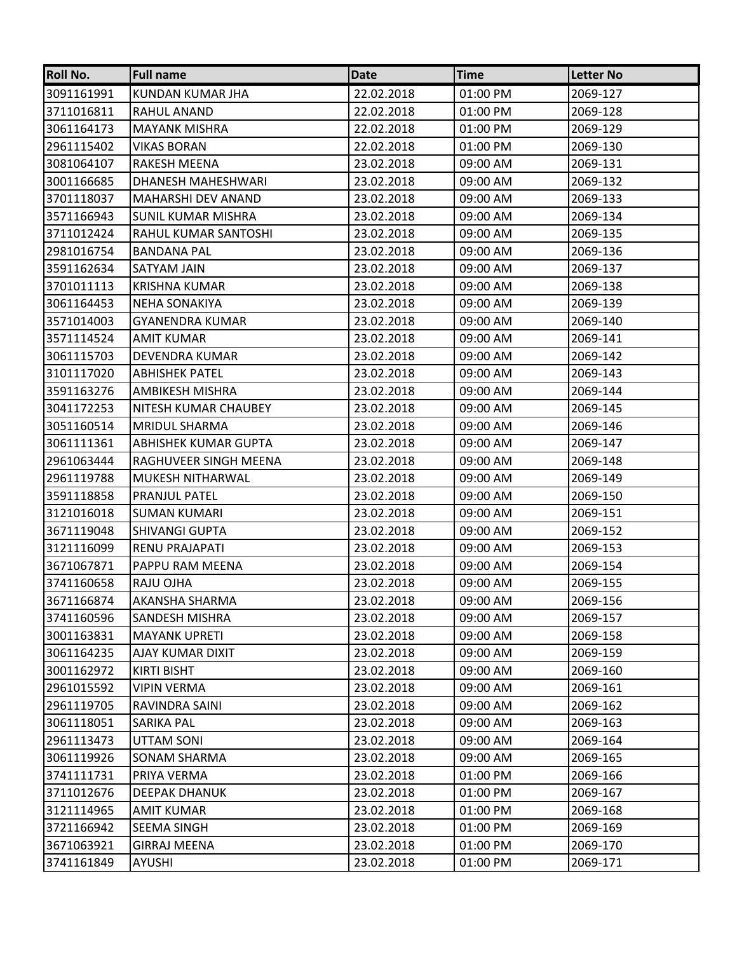| <b>Roll No.</b> | <b>Full name</b>          | Date       | <b>Time</b> | <b>Letter No</b> |
|-----------------|---------------------------|------------|-------------|------------------|
| 3091161991      | KUNDAN KUMAR JHA          | 22.02.2018 | 01:00 PM    | 2069-127         |
| 3711016811      | RAHUL ANAND               | 22.02.2018 | 01:00 PM    | 2069-128         |
| 3061164173      | <b>MAYANK MISHRA</b>      | 22.02.2018 | 01:00 PM    | 2069-129         |
| 2961115402      | VIKAS BORAN               | 22.02.2018 | 01:00 PM    | 2069-130         |
| 3081064107      | RAKESH MEENA              | 23.02.2018 | 09:00 AM    | 2069-131         |
| 3001166685      | DHANESH MAHESHWARI        | 23.02.2018 | 09:00 AM    | 2069-132         |
| 3701118037      | <b>MAHARSHI DEV ANAND</b> | 23.02.2018 | 09:00 AM    | 2069-133         |
| 3571166943      | SUNIL KUMAR MISHRA        | 23.02.2018 | 09:00 AM    | 2069-134         |
| 3711012424      | RAHUL KUMAR SANTOSHI      | 23.02.2018 | 09:00 AM    | 2069-135         |
| 2981016754      | <b>BANDANA PAL</b>        | 23.02.2018 | 09:00 AM    | 2069-136         |
| 3591162634      | SATYAM JAIN               | 23.02.2018 | 09:00 AM    | 2069-137         |
| 3701011113      | <b>KRISHNA KUMAR</b>      | 23.02.2018 | 09:00 AM    | 2069-138         |
| 3061164453      | <b>NEHA SONAKIYA</b>      | 23.02.2018 | 09:00 AM    | 2069-139         |
| 3571014003      | <b>GYANENDRA KUMAR</b>    | 23.02.2018 | 09:00 AM    | 2069-140         |
| 3571114524      | AMIT KUMAR                | 23.02.2018 | 09:00 AM    | 2069-141         |
| 3061115703      | DEVENDRA KUMAR            | 23.02.2018 | 09:00 AM    | 2069-142         |
| 3101117020      | <b>ABHISHEK PATEL</b>     | 23.02.2018 | 09:00 AM    | 2069-143         |
| 3591163276      | AMBIKESH MISHRA           | 23.02.2018 | 09:00 AM    | 2069-144         |
| 3041172253      | NITESH KUMAR CHAUBEY      | 23.02.2018 | 09:00 AM    | 2069-145         |
| 3051160514      | <b>MRIDUL SHARMA</b>      | 23.02.2018 | 09:00 AM    | 2069-146         |
| 3061111361      | ABHISHEK KUMAR GUPTA      | 23.02.2018 | 09:00 AM    | 2069-147         |
| 2961063444      | RAGHUVEER SINGH MEENA     | 23.02.2018 | 09:00 AM    | 2069-148         |
| 2961119788      | MUKESH NITHARWAL          | 23.02.2018 | 09:00 AM    | 2069-149         |
| 3591118858      | PRANJUL PATEL             | 23.02.2018 | 09:00 AM    | 2069-150         |
| 3121016018      | <b>SUMAN KUMARI</b>       | 23.02.2018 | 09:00 AM    | 2069-151         |
| 3671119048      | <b>SHIVANGI GUPTA</b>     | 23.02.2018 | 09:00 AM    | 2069-152         |
| 3121116099      | RENU PRAJAPATI            | 23.02.2018 | 09:00 AM    | 2069-153         |
| 3671067871      | PAPPU RAM MEENA           | 23.02.2018 | 09:00 AM    | 2069-154         |
| 3741160658      | RAJU OJHA                 | 23.02.2018 | 09:00 AM    | 2069-155         |
| 3671166874      | AKANSHA SHARMA            | 23.02.2018 | 09:00 AM    | 2069-156         |
| 3741160596      | SANDESH MISHRA            | 23.02.2018 | 09:00 AM    | 2069-157         |
| 3001163831      | <b>MAYANK UPRETI</b>      | 23.02.2018 | 09:00 AM    | 2069-158         |
| 3061164235      | AJAY KUMAR DIXIT          | 23.02.2018 | 09:00 AM    | 2069-159         |
| 3001162972      | KIRTI BISHT               | 23.02.2018 | 09:00 AM    | 2069-160         |
| 2961015592      | <b>VIPIN VERMA</b>        | 23.02.2018 | 09:00 AM    | 2069-161         |
| 2961119705      | RAVINDRA SAINI            | 23.02.2018 | 09:00 AM    | 2069-162         |
| 3061118051      | SARIKA PAL                | 23.02.2018 | 09:00 AM    | 2069-163         |
| 2961113473      | UTTAM SONI                | 23.02.2018 | 09:00 AM    | 2069-164         |
| 3061119926      | SONAM SHARMA              | 23.02.2018 | 09:00 AM    | 2069-165         |
| 3741111731      | PRIYA VERMA               | 23.02.2018 | 01:00 PM    | 2069-166         |
| 3711012676      | DEEPAK DHANUK             | 23.02.2018 | 01:00 PM    | 2069-167         |
| 3121114965      | <b>AMIT KUMAR</b>         | 23.02.2018 | 01:00 PM    | 2069-168         |
| 3721166942      | SEEMA SINGH               | 23.02.2018 | 01:00 PM    | 2069-169         |
| 3671063921      | GIRRAJ MEENA              | 23.02.2018 | 01:00 PM    | 2069-170         |
| 3741161849      | AYUSHI                    | 23.02.2018 | 01:00 PM    | 2069-171         |